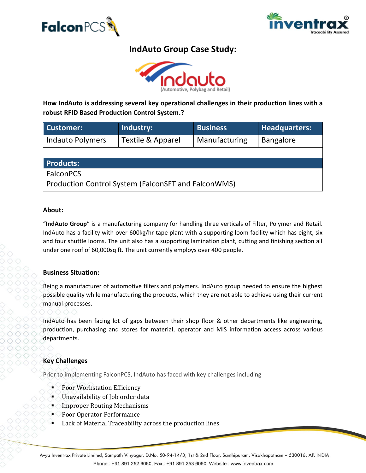



# **IndAuto Group Case Study:**



**How IndAuto is addressing several key operational challenges in their production lines with a robust RFID Based Production Control System.?**

| <b>Customer:</b>                                    | Industry:         | <b>Business</b> | <b>Headquarters:</b> |
|-----------------------------------------------------|-------------------|-----------------|----------------------|
| <b>Indauto Polymers</b>                             | Textile & Apparel | Manufacturing   | <b>Bangalore</b>     |
|                                                     |                   |                 |                      |
| <b>Products:</b>                                    |                   |                 |                      |
| <b>FalconPCS</b>                                    |                   |                 |                      |
| Production Control System (FalconSFT and FalconWMS) |                   |                 |                      |

#### **About:**

"**IndAuto Group**" is a manufacturing company for handling three verticals of Filter, Polymer and Retail. IndAuto has a facility with over 600kg/hr tape plant with a supporting loom facility which has eight, six and four shuttle looms. The unit also has a supporting lamination plant, cutting and finishing section all under one roof of 60,000sq ft. The unit currently employs over 400 people.

#### **Business Situation:**

Being a manufacturer of automotive filters and polymers. IndAuto group needed to ensure the highest possible quality while manufacturing the products, which they are not able to achieve using their current manual processes.

IndAuto has been facing lot of gaps between their shop floor & other departments like engineering, production, purchasing and stores for material, operator and MIS information access across various departments.

# **Key Challenges**

Prior to implementing FalconPCS, IndAuto has faced with key challenges including

- Poor Workstation Efficiency
- Unavailability of Job order data
- **Improper Routing Mechanisms**
- Poor Operator Performance
- Lack of Material Traceability across the production lines

Avya Inventrax Private Limited, Sampath Vinyagur, D.No. 50-94-14/3, 1st & 2nd Floor, Santhipuram, Visakhapatnam – 530016, AP, INDIA Phone: +91 891 252 6060, Fax: +91 891 253 6060. Website: www.inventrax.com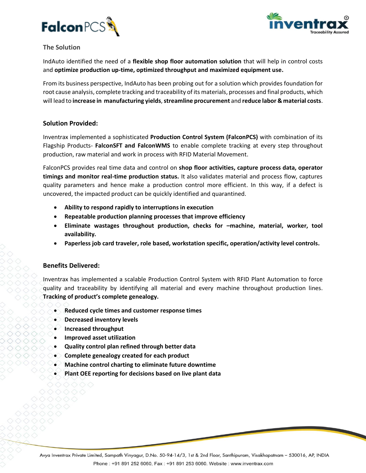



## **The Solution**

IndAuto identified the need of a **flexible shop floor automation solution** that will help in control costs and **optimize production up-time, optimized throughput and maximized equipment use.**

From its business perspective, IndAuto has been probing out for a solution which provides foundation for root cause analysis, complete tracking and traceability of its materials, processes and final products, which will lead to **increase in manufacturing yields**, **streamline procurement** and **reduce labor & material costs**.

## **Solution Provided:**

Inventrax implemented a sophisticated **Production Control System (FalconPCS)** with combination of its Flagship Products- **FalconSFT and FalconWMS** to enable complete tracking at every step throughout production, raw material and work in process with RFID Material Movement.

FalconPCS provides real time data and control on **shop floor activities, capture process data, operator timings and monitor real-time production status.** It also validates material and process flow, captures quality parameters and hence make a production control more efficient. In this way, if a defect is uncovered, the impacted product can be quickly identified and quarantined.

- **Ability to respond rapidly to interruptions in execution**
- **Repeatable production planning processes that improve efficiency**
- **Eliminate wastages throughout production, checks for –machine, material, worker, tool availability.**
- **Paperless job card traveler, role based, workstation specific, operation/activity level controls.**

# **Benefits Delivered:**

Inventrax has implemented a scalable Production Control System with RFID Plant Automation to force quality and traceability by identifying all material and every machine throughout production lines. **Tracking of product's complete genealogy.**

- **Reduced cycle times and customer response times**
- **Decreased inventory levels**
- Increased throughput
- **Improved asset utilization**
- **Quality control plan refined through better data**
- **Complete genealogy created for each product**
- **Machine control charting to eliminate future downtime**
- **Plant OEE reporting for decisions based on live plant data**